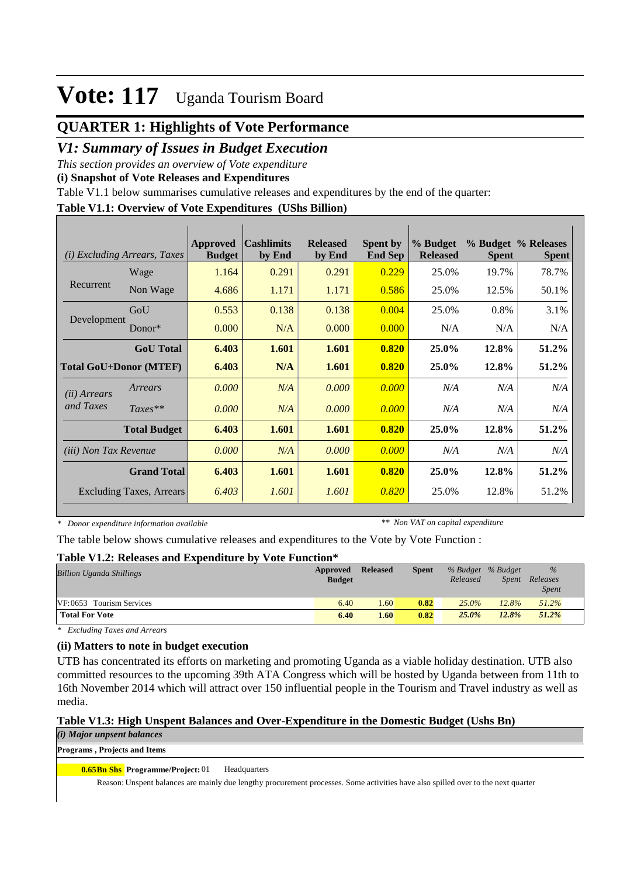## **QUARTER 1: Highlights of Vote Performance**

## *V1: Summary of Issues in Budget Execution*

*This section provides an overview of Vote expenditure* 

**(i) Snapshot of Vote Releases and Expenditures**

Table V1.1 below summarises cumulative releases and expenditures by the end of the quarter:

#### **Table V1.1: Overview of Vote Expenditures (UShs Billion)**

| (i)                          | <i>Excluding Arrears, Taxes</i> | <b>Approved</b><br><b>Budget</b> | <b>Cashlimits</b><br>by End | <b>Released</b><br>by End | <b>Spent by</b><br><b>End Sep</b> | % Budget<br><b>Released</b> | <b>Spent</b> | % Budget % Releases<br><b>Spent</b> |
|------------------------------|---------------------------------|----------------------------------|-----------------------------|---------------------------|-----------------------------------|-----------------------------|--------------|-------------------------------------|
|                              | Wage                            | 1.164                            | 0.291                       | 0.291                     | 0.229                             | 25.0%                       | 19.7%        | 78.7%                               |
| Recurrent                    | Non Wage                        | 4.686                            | 1.171                       | 1.171                     | 0.586                             | 25.0%                       | 12.5%        | 50.1%                               |
|                              | GoU                             | 0.553                            | 0.138                       | 0.138                     | 0.004                             | 25.0%                       | 0.8%         | 3.1%                                |
| Development                  | $Donor*$                        | 0.000                            | N/A                         | 0.000                     | 0.000                             | N/A                         | N/A          | N/A                                 |
|                              | <b>GoU</b> Total                | 6.403                            | 1.601                       | 1.601                     | 0.820                             | 25.0%                       | 12.8%        | 51.2%                               |
|                              | <b>Total GoU+Donor (MTEF)</b>   | 6.403                            | N/A                         | 1.601                     | 0.820                             | 25.0%                       | 12.8%        | 51.2%                               |
| ( <i>ii</i> ) Arrears        | Arrears                         | 0.000                            | N/A                         | 0.000                     | 0.000                             | N/A                         | N/A          | N/A                                 |
| and Taxes                    | $Taxes**$                       | 0.000                            | N/A                         | 0.000                     | 0.000                             | N/A                         | N/A          | N/A                                 |
|                              | <b>Total Budget</b>             | 6.403                            | 1.601                       | 1.601                     | 0.820                             | 25.0%                       | 12.8%        | 51.2%                               |
| <i>(iii)</i> Non Tax Revenue |                                 | 0.000                            | N/A                         | 0.000                     | 0.000                             | N/A                         | N/A          | N/A                                 |
|                              | <b>Grand Total</b>              | 6.403                            | 1.601                       | 1.601                     | 0.820                             | 25.0%                       | 12.8%        | 51.2%                               |
|                              | <b>Excluding Taxes, Arrears</b> | 6.403                            | 1.601                       | 1.601                     | 0.820                             | 25.0%                       | 12.8%        | 51.2%                               |

*\* Donor expenditure information available*

*\*\* Non VAT on capital expenditure*

The table below shows cumulative releases and expenditures to the Vote by Vote Function :

#### **Table V1.2: Releases and Expenditure by Vote Function\***

| <b>Billion Uganda Shillings</b> | Approved<br><b>Budget</b> | <b>Released</b> | <b>Spent</b> | Released | % Budget % Budget<br>Spent | $\%$<br>Releases<br><b>Spent</b> |  |
|---------------------------------|---------------------------|-----------------|--------------|----------|----------------------------|----------------------------------|--|
| VF:0653 Tourism Services        | 6.40                      | 1.60            | 0.82         | $25.0\%$ | 12.8%                      | 51.2%                            |  |
| <b>Total For Vote</b>           | 6.40                      | 1.60            | 0.82         | 25.0%    | 12.8%                      | 51.2%                            |  |

*\* Excluding Taxes and Arrears*

#### **(ii) Matters to note in budget execution**

UTB has concentrated its efforts on marketing and promoting Uganda as a viable holiday destination. UTB also committed resources to the upcoming 39th ATA Congress which will be hosted by Uganda between from 11th to 16th November 2014 which will attract over 150 influential people in the Tourism and Travel industry as well as media.

#### **Table V1.3: High Unspent Balances and Over-Expenditure in the Domestic Budget (Ushs Bn)**

*(i) Major unpsent balances*

**Programs , Projects and Items**

**0.65Bn Shs Programme/Project: 01 Headquarters** 

Reason: Unspent balances are mainly due lengthy procurement processes. Some activities have also spilled over to the next quarter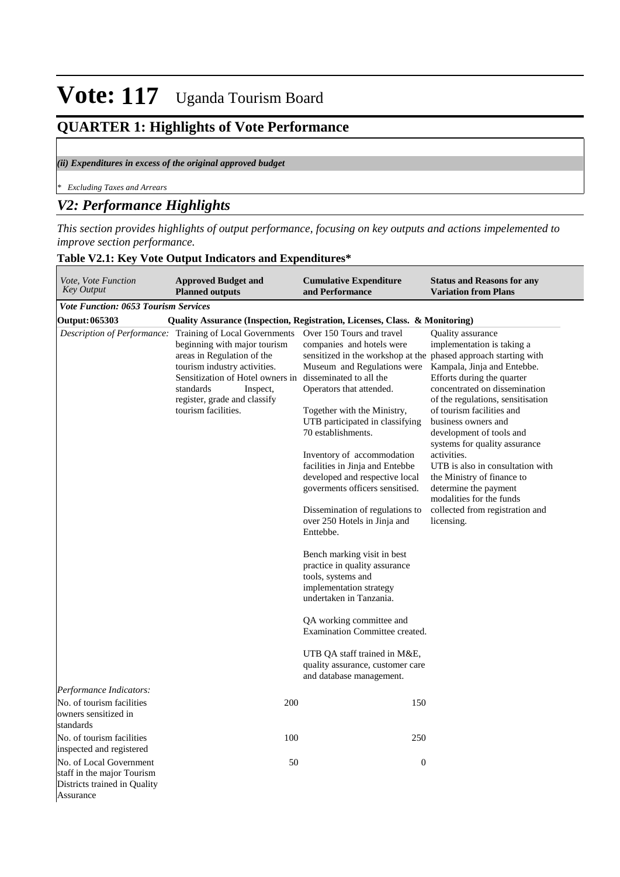## **QUARTER 1: Highlights of Vote Performance**

#### *(ii) Expenditures in excess of the original approved budget*

*\* Excluding Taxes and Arrears*

### *V2: Performance Highlights*

*This section provides highlights of output performance, focusing on key outputs and actions impelemented to improve section performance.*

#### **Table V2.1: Key Vote Output Indicators and Expenditures\***

| Vote, Vote Function<br><b>Key Output</b>                                                           | <b>Approved Budget and</b><br><b>Planned outputs</b>                                                                                                                                                                                            | <b>Cumulative Expenditure</b><br>and Performance                                                                                                                                                                                                                                                                                                                                                                                                                                                                                                                                                                                                                                                                                                                                                                                         | <b>Status and Reasons for any</b><br><b>Variation from Plans</b>                                                                                                                                                                                                                                                                                                                                                                                                                           |
|----------------------------------------------------------------------------------------------------|-------------------------------------------------------------------------------------------------------------------------------------------------------------------------------------------------------------------------------------------------|------------------------------------------------------------------------------------------------------------------------------------------------------------------------------------------------------------------------------------------------------------------------------------------------------------------------------------------------------------------------------------------------------------------------------------------------------------------------------------------------------------------------------------------------------------------------------------------------------------------------------------------------------------------------------------------------------------------------------------------------------------------------------------------------------------------------------------------|--------------------------------------------------------------------------------------------------------------------------------------------------------------------------------------------------------------------------------------------------------------------------------------------------------------------------------------------------------------------------------------------------------------------------------------------------------------------------------------------|
| <b>Vote Function: 0653 Tourism Services</b>                                                        |                                                                                                                                                                                                                                                 |                                                                                                                                                                                                                                                                                                                                                                                                                                                                                                                                                                                                                                                                                                                                                                                                                                          |                                                                                                                                                                                                                                                                                                                                                                                                                                                                                            |
| Output: 065303                                                                                     |                                                                                                                                                                                                                                                 | Quality Assurance (Inspection, Registration, Licenses, Class. & Monitoring)                                                                                                                                                                                                                                                                                                                                                                                                                                                                                                                                                                                                                                                                                                                                                              |                                                                                                                                                                                                                                                                                                                                                                                                                                                                                            |
| Description of Performance:                                                                        | Training of Local Governments<br>beginning with major tourism<br>areas in Regulation of the<br>tourism industry activities.<br>Sensitization of Hotel owners in<br>standards<br>Inspect.<br>register, grade and classify<br>tourism facilities. | Over 150 Tours and travel<br>companies and hotels were<br>sensitized in the workshop at the phased approach starting with<br>Museum and Regulations were<br>disseminated to all the<br>Operators that attended.<br>Together with the Ministry,<br>UTB participated in classifying<br>70 establishments.<br>Inventory of accommodation<br>facilities in Jinja and Entebbe<br>developed and respective local<br>governments officers sensitised.<br>Dissemination of regulations to<br>over 250 Hotels in Jinja and<br>Enttebbe.<br>Bench marking visit in best<br>practice in quality assurance<br>tools, systems and<br>implementation strategy<br>undertaken in Tanzania.<br>QA working committee and<br>Examination Committee created.<br>UTB QA staff trained in M&E,<br>quality assurance, customer care<br>and database management. | Quality assurance<br>implementation is taking a<br>Kampala, Jinja and Entebbe.<br>Efforts during the quarter<br>concentrated on dissemination<br>of the regulations, sensitisation<br>of tourism facilities and<br>business owners and<br>development of tools and<br>systems for quality assurance<br>activities.<br>UTB is also in consultation with<br>the Ministry of finance to<br>determine the payment<br>modalities for the funds<br>collected from registration and<br>licensing. |
| Performance Indicators:                                                                            |                                                                                                                                                                                                                                                 |                                                                                                                                                                                                                                                                                                                                                                                                                                                                                                                                                                                                                                                                                                                                                                                                                                          |                                                                                                                                                                                                                                                                                                                                                                                                                                                                                            |
| No. of tourism facilities<br>owners sensitized in<br>standards                                     | 200                                                                                                                                                                                                                                             | 150                                                                                                                                                                                                                                                                                                                                                                                                                                                                                                                                                                                                                                                                                                                                                                                                                                      |                                                                                                                                                                                                                                                                                                                                                                                                                                                                                            |
| No. of tourism facilities<br>inspected and registered                                              | 100                                                                                                                                                                                                                                             | 250                                                                                                                                                                                                                                                                                                                                                                                                                                                                                                                                                                                                                                                                                                                                                                                                                                      |                                                                                                                                                                                                                                                                                                                                                                                                                                                                                            |
| No. of Local Government<br>staff in the major Tourism<br>Districts trained in Quality<br>Assurance | 50                                                                                                                                                                                                                                              | $\boldsymbol{0}$                                                                                                                                                                                                                                                                                                                                                                                                                                                                                                                                                                                                                                                                                                                                                                                                                         |                                                                                                                                                                                                                                                                                                                                                                                                                                                                                            |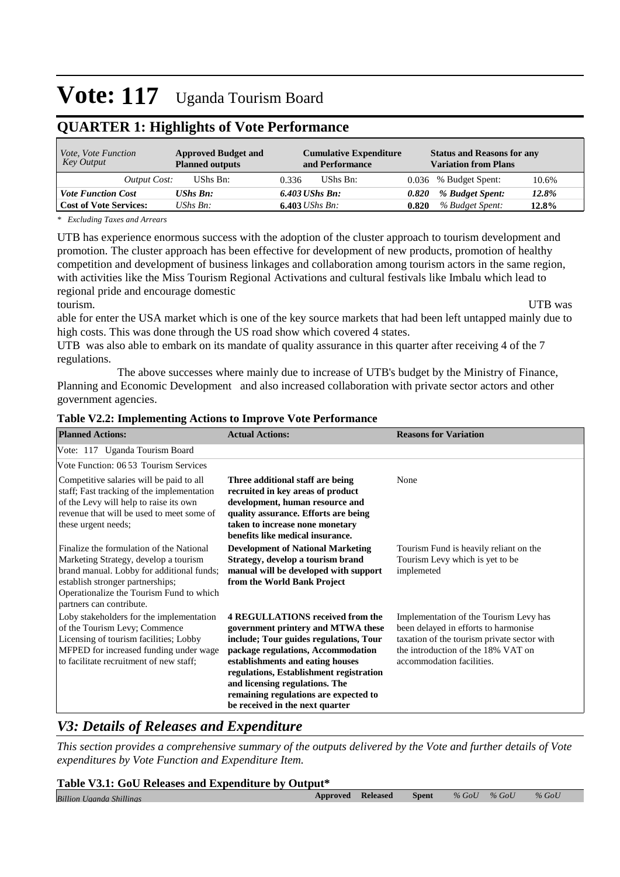## **QUARTER 1: Highlights of Vote Performance**

| <i>Vote, Vote Function</i><br>Key Output | <b>Approved Budget and</b><br><b>Planned outputs</b> | <b>Cumulative Expenditure</b><br>and Performance | <b>Status and Reasons for any</b><br><b>Variation from Plans</b> |
|------------------------------------------|------------------------------------------------------|--------------------------------------------------|------------------------------------------------------------------|
| Output Cost:                             | UShs Bn:                                             | UShs Bn:<br>0.336                                | 0.036 % Budget Spent:<br>10.6%                                   |
| <b>Vote Function Cost</b>                | <b>UShs Bn:</b>                                      | $6.403$ UShs Bn:                                 | 12.8%<br>% Budget Spent:<br>0.820                                |
| <b>Cost of Vote Services:</b>            | UShs $B_n$ :                                         | 6.403 <i>UShs Bn</i> :                           | % Budget Spent:<br>0.820<br>12.8%                                |

*\* Excluding Taxes and Arrears*

UTB has experience enormous success with the adoption of the cluster approach to tourism development and promotion. The cluster approach has been effective for development of new products, promotion of healthy competition and development of business linkages and collaboration among tourism actors in the same region, with activities like the Miss Tourism Regional Activations and cultural festivals like Imbalu which lead to regional pride and encourage domestic tourism. UTB was

able for enter the USA market which is one of the key source markets that had been left untapped mainly due to high costs. This was done through the US road show which covered 4 states.

UTB was also able to embark on its mandate of quality assurance in this quarter after receiving 4 of the 7 regulations.

 The above successes where mainly due to increase of UTB's budget by the Ministry of Finance, Planning and Economic Development and also increased collaboration with private sector actors and other government agencies.

#### **Table V2.2: Implementing Actions to Improve Vote Performance**

| <b>Planned Actions:</b>                                                                                                                                                                                                                    | <b>Actual Actions:</b>                                                                                                                                                                                                                                                                                                                                     | <b>Reasons for Variation</b>                                                                                                                                                                     |
|--------------------------------------------------------------------------------------------------------------------------------------------------------------------------------------------------------------------------------------------|------------------------------------------------------------------------------------------------------------------------------------------------------------------------------------------------------------------------------------------------------------------------------------------------------------------------------------------------------------|--------------------------------------------------------------------------------------------------------------------------------------------------------------------------------------------------|
| Vote: 117 Uganda Tourism Board                                                                                                                                                                                                             |                                                                                                                                                                                                                                                                                                                                                            |                                                                                                                                                                                                  |
| Vote Function: 06 53 Tourism Services                                                                                                                                                                                                      |                                                                                                                                                                                                                                                                                                                                                            |                                                                                                                                                                                                  |
| Competitive salaries will be paid to all<br>staff; Fast tracking of the implementation<br>of the Levy will help to raise its own<br>revenue that will be used to meet some of<br>these urgent needs;                                       | Three additional staff are being<br>recruited in key areas of product<br>development, human resource and<br>quality assurance. Efforts are being<br>taken to increase none monetary<br>benefits like medical insurance.                                                                                                                                    | None                                                                                                                                                                                             |
| Finalize the formulation of the National<br>Marketing Strategy, develop a tourism<br>brand manual. Lobby for additional funds;<br>establish stronger partnerships;<br>Operationalize the Tourism Fund to which<br>partners can contribute. | <b>Development of National Marketing</b><br>Strategy, develop a tourism brand<br>manual will be developed with support<br>from the World Bank Project                                                                                                                                                                                                      | Tourism Fund is heavily reliant on the<br>Tourism Levy which is yet to be<br>implemeted                                                                                                          |
| Loby stakeholders for the implementation<br>of the Tourism Levy; Commence<br>Licensing of tourism facilities; Lobby<br>MFPED for increased funding under wage<br>to facilitate recruitment of new staff;                                   | <b>4 REGULLATIONS received from the</b><br>government printery and MTWA these<br>include; Tour guides regulations, Tour<br>package regulations, Accommodation<br>establishments and eating houses<br>regulations, Establishment registration<br>and licensing regulations. The<br>remaining regulations are expected to<br>be received in the next quarter | Implementation of the Tourism Levy has<br>been delayed in efforts to harmonise<br>taxation of the tourism private sector with<br>the introduction of the 18% VAT on<br>accommodation facilities. |

### *V3: Details of Releases and Expenditure*

*This section provides a comprehensive summary of the outputs delivered by the Vote and further details of Vote expenditures by Vote Function and Expenditure Item.*

#### **Table V3.1: GoU Releases and Expenditure by Output\***

| <b>Billion Uganda Shillings</b> | Approved | <b>Released</b> | <b>Spent</b> | $%$ GoU | $%$ GoU | $%$ GoU |
|---------------------------------|----------|-----------------|--------------|---------|---------|---------|
|                                 |          |                 |              |         |         |         |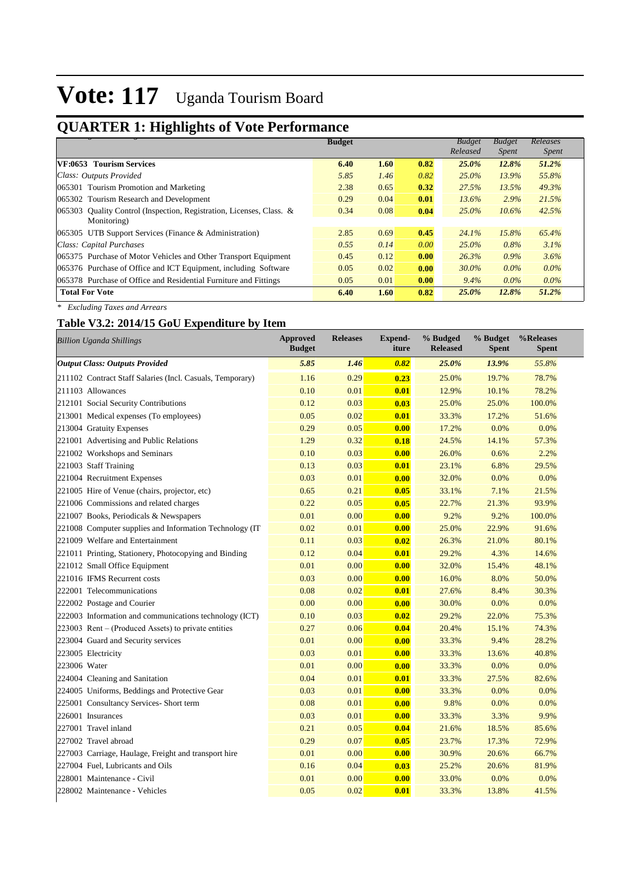## **QUARTER 1: Highlights of Vote Performance**

|                                                                         | <b>Budget</b> |      |      | <b>Budget</b> | <b>Budget</b> | Releases     |
|-------------------------------------------------------------------------|---------------|------|------|---------------|---------------|--------------|
|                                                                         |               |      |      | Released      | <i>Spent</i>  | <i>Spent</i> |
| <b>VF:0653 Tourism Services</b>                                         | 6.40          | 1.60 | 0.82 | 25.0%         | 12.8%         | 51.2%        |
| Class: Outputs Provided                                                 | 5.85          | 1.46 | 0.82 | $25.0\%$      | 13.9%         | 55.8%        |
| 065301 Tourism Promotion and Marketing                                  | 2.38          | 0.65 | 0.32 | 27.5%         | 13.5%         | 49.3%        |
| 065302 Tourism Research and Development                                 | 0.29          | 0.04 | 0.01 | 13.6%         | $2.9\%$       | 21.5%        |
| Quality Control (Inspection, Registration, Licenses, Class. &<br>065303 | 0.34          | 0.08 | 0.04 | $25.0\%$      | $10.6\%$      | 42.5%        |
| Monitoring)                                                             |               |      |      |               |               |              |
| UTB Support Services (Finance & Administration)<br>065305               | 2.85          | 0.69 | 0.45 | 24.1%         | 15.8%         | 65.4%        |
| Class: Capital Purchases                                                | 0.55          | 0.14 | 0.00 | $25.0\%$      | 0.8%          | 3.1%         |
| 065375 Purchase of Motor Vehicles and Other Transport Equipment         | 0.45          | 0.12 | 0.00 | 26.3%         | $0.9\%$       | 3.6%         |
| 065376 Purchase of Office and ICT Equipment, including Software         | 0.05          | 0.02 | 0.00 | $30.0\%$      | $0.0\%$       | $0.0\%$      |
| 065378 Purchase of Office and Residential Furniture and Fittings        | 0.05          | 0.01 | 0.00 | $9.4\%$       | $0.0\%$       | $0.0\%$      |
| <b>Total For Vote</b>                                                   | 6.40          | 1.60 | 0.82 | 25.0%         | 12.8%         | 51.2%        |

*\* Excluding Taxes and Arrears*

### **Table V3.2: 2014/15 GoU Expenditure by Item**

|              | <b>Billion Uganda Shillings</b>                           | <b>Approved</b><br><b>Budget</b> | <b>Releases</b> | <b>Expend-</b><br>iture | % Budged<br><b>Released</b> | % Budget<br><b>Spent</b> | %Releases<br><b>Spent</b> |
|--------------|-----------------------------------------------------------|----------------------------------|-----------------|-------------------------|-----------------------------|--------------------------|---------------------------|
|              | <b>Output Class: Outputs Provided</b>                     | 5.85                             | 1.46            | 0.82                    | 25.0%                       | 13.9%                    | 55.8%                     |
|              | 211102 Contract Staff Salaries (Incl. Casuals, Temporary) | 1.16                             | 0.29            | 0.23                    | 25.0%                       | 19.7%                    | 78.7%                     |
|              | 211103 Allowances                                         | 0.10                             | 0.01            | 0.01                    | 12.9%                       | 10.1%                    | 78.2%                     |
|              | 212101 Social Security Contributions                      | 0.12                             | 0.03            | 0.03                    | 25.0%                       | 25.0%                    | 100.0%                    |
|              | 213001 Medical expenses (To employees)                    | 0.05                             | 0.02            | 0.01                    | 33.3%                       | 17.2%                    | 51.6%                     |
|              | 213004 Gratuity Expenses                                  | 0.29                             | 0.05            | 0.00                    | 17.2%                       | 0.0%                     | 0.0%                      |
|              | 221001 Advertising and Public Relations                   | 1.29                             | 0.32            | 0.18                    | 24.5%                       | 14.1%                    | 57.3%                     |
|              | 221002 Workshops and Seminars                             | 0.10                             | 0.03            | 0.00                    | 26.0%                       | 0.6%                     | 2.2%                      |
|              | 221003 Staff Training                                     | 0.13                             | 0.03            | 0.01                    | 23.1%                       | 6.8%                     | 29.5%                     |
|              | 221004 Recruitment Expenses                               | 0.03                             | 0.01            | 0.00                    | 32.0%                       | 0.0%                     | 0.0%                      |
|              | 221005 Hire of Venue (chairs, projector, etc)             | 0.65                             | 0.21            | 0.05                    | 33.1%                       | 7.1%                     | 21.5%                     |
|              | 221006 Commissions and related charges                    | 0.22                             | 0.05            | 0.05                    | 22.7%                       | 21.3%                    | 93.9%                     |
|              | 221007 Books, Periodicals & Newspapers                    | 0.01                             | 0.00            | 0.00                    | 9.2%                        | 9.2%                     | 100.0%                    |
|              | 221008 Computer supplies and Information Technology (IT   | 0.02                             | 0.01            | 0.00                    | 25.0%                       | 22.9%                    | 91.6%                     |
|              | 221009 Welfare and Entertainment                          | 0.11                             | 0.03            | 0.02                    | 26.3%                       | 21.0%                    | 80.1%                     |
|              | 221011 Printing, Stationery, Photocopying and Binding     | 0.12                             | 0.04            | 0.01                    | 29.2%                       | 4.3%                     | 14.6%                     |
|              | 221012 Small Office Equipment                             | 0.01                             | 0.00            | 0.00                    | 32.0%                       | 15.4%                    | 48.1%                     |
|              | 221016 IFMS Recurrent costs                               | 0.03                             | 0.00            | 0.00                    | 16.0%                       | 8.0%                     | 50.0%                     |
|              | 222001 Telecommunications                                 | 0.08                             | 0.02            | 0.01                    | 27.6%                       | 8.4%                     | 30.3%                     |
|              | 222002 Postage and Courier                                | 0.00                             | 0.00            | 0.00                    | 30.0%                       | 0.0%                     | 0.0%                      |
|              | 222003 Information and communications technology (ICT)    | 0.10                             | 0.03            | 0.02                    | 29.2%                       | 22.0%                    | 75.3%                     |
|              | $223003$ Rent – (Produced Assets) to private entities     | 0.27                             | 0.06            | 0.04                    | 20.4%                       | 15.1%                    | 74.3%                     |
|              | 223004 Guard and Security services                        | 0.01                             | 0.00            | 0.00                    | 33.3%                       | 9.4%                     | 28.2%                     |
|              | 223005 Electricity                                        | 0.03                             | 0.01            | 0.00                    | 33.3%                       | 13.6%                    | 40.8%                     |
| 223006 Water |                                                           | 0.01                             | 0.00            | 0.00                    | 33.3%                       | 0.0%                     | 0.0%                      |
|              | 224004 Cleaning and Sanitation                            | 0.04                             | 0.01            | 0.01                    | 33.3%                       | 27.5%                    | 82.6%                     |
|              | 224005 Uniforms, Beddings and Protective Gear             | 0.03                             | 0.01            | 0.00                    | 33.3%                       | 0.0%                     | 0.0%                      |
|              | 225001 Consultancy Services- Short term                   | 0.08                             | 0.01            | 0.00                    | 9.8%                        | 0.0%                     | 0.0%                      |
|              | 226001 Insurances                                         | 0.03                             | 0.01            | 0.00                    | 33.3%                       | 3.3%                     | 9.9%                      |
|              | 227001 Travel inland                                      | 0.21                             | 0.05            | 0.04                    | 21.6%                       | 18.5%                    | 85.6%                     |
|              | 227002 Travel abroad                                      | 0.29                             | 0.07            | 0.05                    | 23.7%                       | 17.3%                    | 72.9%                     |
|              | 227003 Carriage, Haulage, Freight and transport hire      | 0.01                             | 0.00            | 0.00                    | 30.9%                       | 20.6%                    | 66.7%                     |
|              | 227004 Fuel, Lubricants and Oils                          | 0.16                             | 0.04            | 0.03                    | 25.2%                       | 20.6%                    | 81.9%                     |
|              | 228001 Maintenance - Civil                                | 0.01                             | 0.00            | 0.00                    | 33.0%                       | 0.0%                     | 0.0%                      |
|              | 228002 Maintenance - Vehicles                             | 0.05                             | 0.02            | 0.01                    | 33.3%                       | 13.8%                    | 41.5%                     |